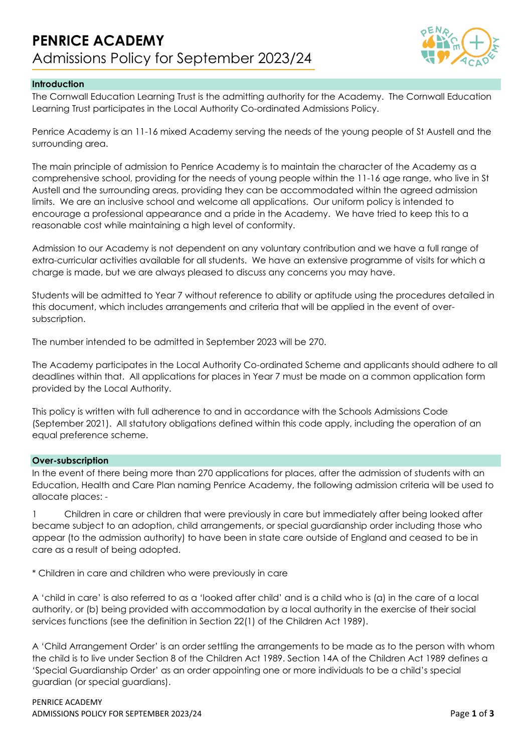

## **Introduction**

The Cornwall Education Learning Trust is the admitting authority for the Academy. The Cornwall Education Learning Trust participates in the Local Authority Co-ordinated Admissions Policy.

Penrice Academy is an 11-16 mixed Academy serving the needs of the young people of St Austell and the surrounding area.

The main principle of admission to Penrice Academy is to maintain the character of the Academy as a comprehensive school, providing for the needs of young people within the 11-16 age range, who live in St Austell and the surrounding areas, providing they can be accommodated within the agreed admission limits. We are an inclusive school and welcome all applications. Our uniform policy is intended to encourage a professional appearance and a pride in the Academy. We have tried to keep this to a reasonable cost while maintaining a high level of conformity.

Admission to our Academy is not dependent on any voluntary contribution and we have a full range of extra-curricular activities available for all students. We have an extensive programme of visits for which a charge is made, but we are always pleased to discuss any concerns you may have.

Students will be admitted to Year 7 without reference to ability or aptitude using the procedures detailed in this document, which includes arrangements and criteria that will be applied in the event of oversubscription.

The number intended to be admitted in September 2023 will be 270.

The Academy participates in the Local Authority Co-ordinated Scheme and applicants should adhere to all deadlines within that. All applications for places in Year 7 must be made on a common application form provided by the Local Authority.

This policy is written with full adherence to and in accordance with the Schools Admissions Code (September 2021). All statutory obligations defined within this code apply, including the operation of an equal preference scheme.

### **Over-subscription**

In the event of there being more than 270 applications for places, after the admission of students with an Education, Health and Care Plan naming Penrice Academy, the following admission criteria will be used to allocate places: -

1 Children in care or children that were previously in care but immediately after being looked after became subject to an adoption, child arrangements, or special guardianship order including those who appear (to the admission authority) to have been in state care outside of England and ceased to be in care as a result of being adopted.

\* Children in care and children who were previously in care

A 'child in care' is also referred to as a 'looked after child' and is a child who is (a) in the care of a local authority, or (b) being provided with accommodation by a local authority in the exercise of their social services functions (see the definition in Section 22(1) of the Children Act 1989).

A 'Child Arrangement Order' is an order settling the arrangements to be made as to the person with whom the child is to live under Section 8 of the Children Act 1989. Section 14A of the Children Act 1989 defines a 'Special Guardianship Order' as an order appointing one or more individuals to be a child's special guardian (or special guardians).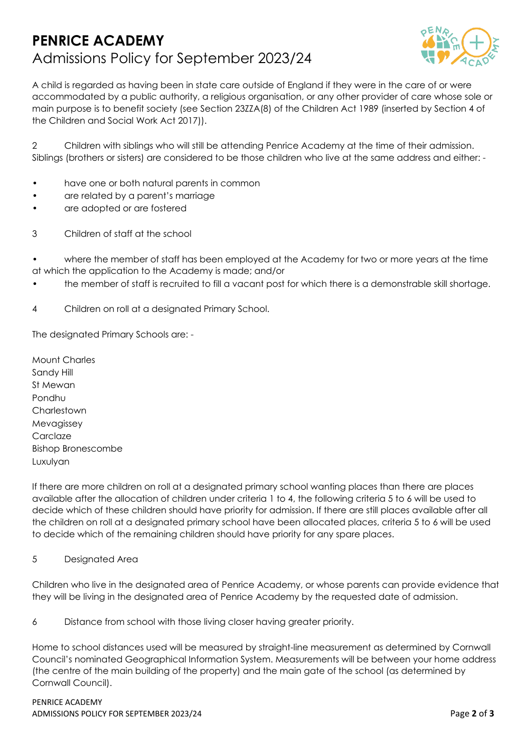# **PENRICE ACADEMY** Admissions Policy for September 2023/24



A child is regarded as having been in state care outside of England if they were in the care of or were accommodated by a public authority, a religious organisation, or any other provider of care whose sole or main purpose is to benefit society (see Section 23ZZA(8) of the Children Act 1989 (inserted by Section 4 of the Children and Social Work Act 2017)).

2 Children with siblings who will still be attending Penrice Academy at the time of their admission. Siblings (brothers or sisters) are considered to be those children who live at the same address and either: -

- have one or both natural parents in common
- are related by a parent's marriage
- are adopted or are fostered
- 3 Children of staff at the school

• where the member of staff has been employed at the Academy for two or more years at the time at which the application to the Academy is made; and/or

- the member of staff is recruited to fill a vacant post for which there is a demonstrable skill shortage.
- 4 Children on roll at a designated Primary School.

The designated Primary Schools are: -

Mount Charles Sandy Hill St Mewan Pondhu **Charlestown** Mevagissey **Carclaze** Bishop Bronescombe Luxulyan

If there are more children on roll at a designated primary school wanting places than there are places available after the allocation of children under criteria 1 to 4, the following criteria 5 to 6 will be used to decide which of these children should have priority for admission. If there are still places available after all the children on roll at a designated primary school have been allocated places, criteria 5 to 6 will be used to decide which of the remaining children should have priority for any spare places.

5 Designated Area

Children who live in the designated area of Penrice Academy, or whose parents can provide evidence that they will be living in the designated area of Penrice Academy by the requested date of admission.

6 Distance from school with those living closer having greater priority.

Home to school distances used will be measured by straight-line measurement as determined by Cornwall Council's nominated Geographical Information System. Measurements will be between your home address (the centre of the main building of the property) and the main gate of the school (as determined by Cornwall Council).